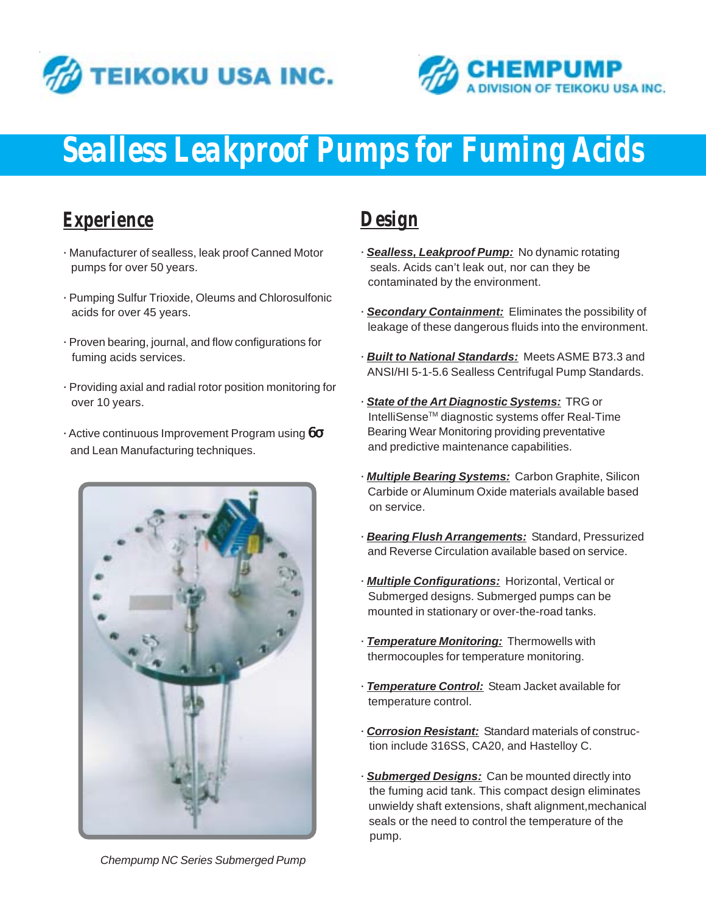



# *Sealless Leakproof Pumps for Fuming Acids*

#### *Experience*

- · Manufacturer of sealless, leak proof Canned Motor pumps for over 50 years.
- · Pumping Sulfur Trioxide, Oleums and Chlorosulfonic acids for over 45 years.
- · Proven bearing, journal, and flow configurations for fuming acids services.
- · Providing axial and radial rotor position monitoring for over 10 years.
- $\cdot$  Active continuous Improvement Program using  $6\sigma$ and Lean Manufacturing techniques.



## *Design*

- · *Sealless, Leakproof Pump:* No dynamic rotating seals. Acids can't leak out, nor can they be contaminated by the environment.
- · *Secondary Containment:* Eliminates the possibility of leakage of these dangerous fluids into the environment.
- · *Built to National Standards:* Meets ASME B73.3 and ANSI/HI 5-1-5.6 Sealless Centrifugal Pump Standards.
- · *State of the Art Diagnostic Systems:* TRG or IntelliSenseTM diagnostic systems offer Real-Time Bearing Wear Monitoring providing preventative and predictive maintenance capabilities.
- · *Multiple Bearing Systems:* Carbon Graphite, Silicon Carbide or Aluminum Oxide materials available based on service.
- · *Bearing Flush Arrangements:* Standard, Pressurized and Reverse Circulation available based on service.
- · *Multiple Configurations:* Horizontal, Vertical or Submerged designs. Submerged pumps can be mounted in stationary or over-the-road tanks.
- · *Temperature Monitoring:* Thermowells with thermocouples for temperature monitoring.
- · *Temperature Control:* Steam Jacket available for temperature control.
- · *Corrosion Resistant:* Standard materials of construc tion include 316SS, CA20, and Hastelloy C.
- · *Submerged Designs:* Can be mounted directly into the fuming acid tank. This compact design eliminates unwieldy shaft extensions, shaft alignment,mechanical seals or the need to control the temperature of the pump.

*Chempump NC Series Submerged Pump*